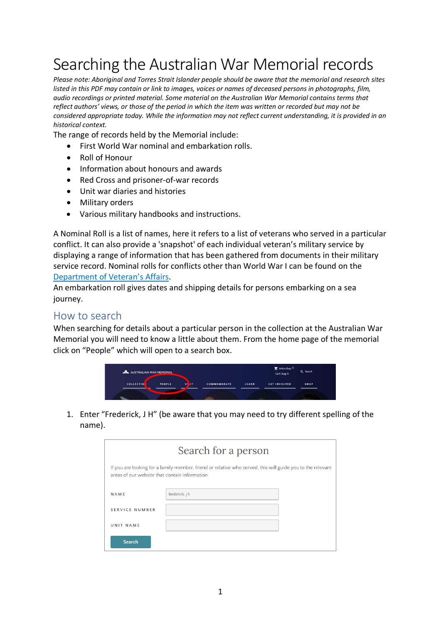## Searching the Australian War Memorial records

*Please note: Aboriginal and Torres Strait Islander people should be aware that the memorial and research sites listed in this PDF may contain or link to images, voices or names of deceased persons in photographs, film, audio recordings or printed material. Some material on the Australian War Memorial contains terms that reflect authors' views, or those of the period in which the item was written or recorded but may not be considered appropriate today. While the information may not reflect current understanding, it is provided in an historical context.*

The range of records held by the Memorial include:

- First World War nominal and embarkation rolls.
- Roll of Honour
- Information about honours and awards
- Red Cross and prisoner-of-war records
- Unit war diaries and histories
- Military orders
- Various military handbooks and instructions.

A Nominal Roll is a list of names, here it refers to a list of veterans who served in a particular conflict. It can also provide a 'snapshot' of each individual veteran's military service by displaying a range of information that has been gathered from documents in their military service record. Nominal rolls for conflicts other than World War I can be found on the [Department of Veteran's Affairs.](https://www.dva.gov.au/recognition/events-and-reminders-all-who-served/records-and-military-history/nominal-rolls/list)

An embarkation roll gives dates and shipping details for persons embarking on a sea journey.

## How to search

When searching for details about a particular person in the collection at the Australian War Memorial you will need to know a little about them. From the home page of the memorial click on "People" which will open to a search box.



1. Enter "Frederick, J H" (be aware that you may need to try different spelling of the name).

| Search for a person                                                                                                                                          |                |  |  |  |
|--------------------------------------------------------------------------------------------------------------------------------------------------------------|----------------|--|--|--|
| If you are looking for a family member, friend or relative who served, this will guide you to the relevant<br>areas of our website that contain information. |                |  |  |  |
| NAME                                                                                                                                                         | frederick, j h |  |  |  |
| <b>SERVICE NUMBER</b>                                                                                                                                        |                |  |  |  |
| UNIT NAME                                                                                                                                                    |                |  |  |  |
| Search                                                                                                                                                       |                |  |  |  |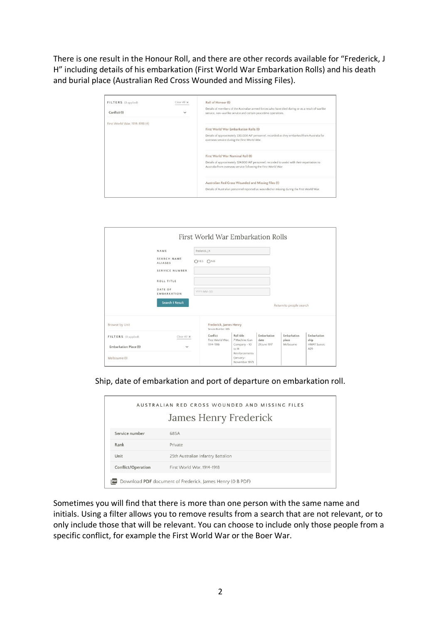There is one result in the Honour Roll, and there are other records available for "Frederick, J H" including details of his embarkation (First World War Embarkation Rolls) and his death and burial place (Australian Red Cross Wounded and Missing Files).

| FILTERS (O applied)            | Clear All X  | Roll of Honour (1)                                                                                                                                                 |
|--------------------------------|--------------|--------------------------------------------------------------------------------------------------------------------------------------------------------------------|
| Conflict (1)                   | $\checkmark$ | Details of members of the Australian armed forces who have died during or as a result of warlike<br>service, non-warlike service and certain peacetime operations. |
| First World War, 1914-1918 (4) |              | First World War Embarkation Rolls (1)                                                                                                                              |
|                                |              | Details of approximately 330,000 AIF personnel, recorded as they embarked from Australia for<br>overseas service during the First World War.                       |
|                                |              | First World War Nominal Roll (1)                                                                                                                                   |
|                                |              | Details of approximately 324,000 AIF personnel, recorded to assist with their repatriation to<br>Australia from overseas service following the First World War.    |
|                                |              | Australian Red Cross Wounded and Missing Files (1)                                                                                                                 |
|                                |              | Details of Australian personnel reported as wounded or missing during the First World War.                                                                         |

|                                       | First World War Embarkation Rolls             |                                               |                     |                         |                           |
|---------------------------------------|-----------------------------------------------|-----------------------------------------------|---------------------|-------------------------|---------------------------|
| NAME                                  | frederick, j h                                |                                               |                     |                         |                           |
| SEARCH NAME<br><b>ALIASES</b>         | OYES ONO                                      |                                               |                     |                         |                           |
| SERVICE NUMBER                        |                                               |                                               |                     |                         |                           |
| ROLL TITLE                            |                                               |                                               |                     |                         |                           |
| DATE OF<br>EMBARKATION                | YYYY-MM-DD                                    |                                               |                     |                         |                           |
| <b>Search 1 Result</b>                |                                               |                                               |                     | Return to people search |                           |
| Browse by Unit                        | Frederick, James Henry<br>Service Number: 685 |                                               |                     |                         |                           |
| FILTERS (O applied)<br>Clear All X    | Conflict<br>First World War.                  | Roll title<br>7 Machine Gun                   | Embarkation<br>date | Embarkation<br>place    | Embarkation<br>ship       |
| Embarkation Place (1)<br>$\checkmark$ | 1914-1918                                     | Company - 10<br>to $14$                       | 21 June 1917        | Melbourne               | <b>HMAT Suevic</b><br>A29 |
| Melbourne (1)                         |                                               | Reinforcements<br>(January-<br>November 1917) |                     |                         |                           |

Ship, date of embarkation and port of departure on embarkation roll.

| AUSTRALIAN RED CROSS WOUNDED AND MISSING FILES<br>James Henry Frederick |                                    |  |
|-------------------------------------------------------------------------|------------------------------------|--|
| Service number                                                          | 685A                               |  |
| Rank                                                                    | Private                            |  |
| Unit                                                                    | 25th Australian Infantry Battalion |  |
| Conflict/Operation                                                      | First World War, 1914-1918         |  |
| Download PDF document of Frederick, James Henry (O B PDF)               |                                    |  |

Sometimes you will find that there is more than one person with the same name and initials. Using a filter allows you to remove results from a search that are not relevant, or to only include those that will be relevant. You can choose to include only those people from a specific conflict, for example the First World War or the Boer War.